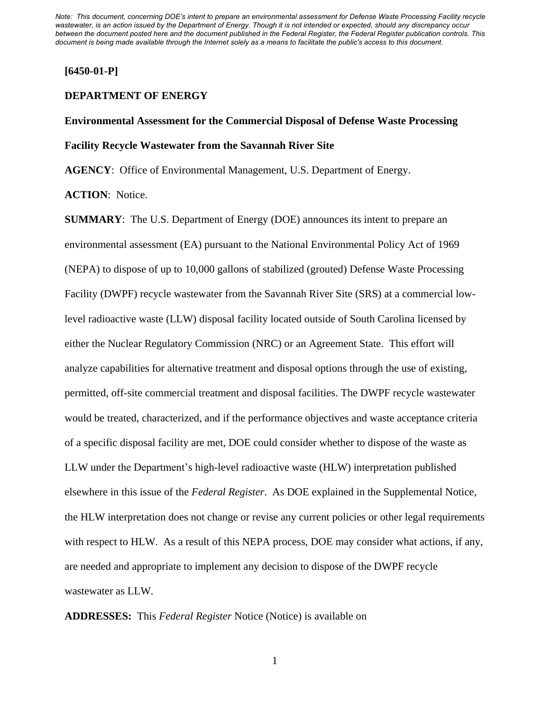## **[6450-01-P]**

# **DEPARTMENT OF ENERGY**

# **Environmental Assessment for the Commercial Disposal of Defense Waste Processing Facility Recycle Wastewater from the Savannah River Site**

**AGENCY**: Office of Environmental Management, U.S. Department of Energy.

**ACTION**: Notice.

**SUMMARY**: The U.S. Department of Energy (DOE) announces its intent to prepare an environmental assessment (EA) pursuant to the National Environmental Policy Act of 1969 (NEPA) to dispose of up to 10,000 gallons of stabilized (grouted) Defense Waste Processing Facility (DWPF) recycle wastewater from the Savannah River Site (SRS) at a commercial lowlevel radioactive waste (LLW) disposal facility located outside of South Carolina licensed by either the Nuclear Regulatory Commission (NRC) or an Agreement State. This effort will analyze capabilities for alternative treatment and disposal options through the use of existing, permitted, off-site commercial treatment and disposal facilities. The DWPF recycle wastewater would be treated, characterized, and if the performance objectives and waste acceptance criteria of a specific disposal facility are met, DOE could consider whether to dispose of the waste as LLW under the Department's high-level radioactive waste (HLW) interpretation published elsewhere in this issue of the *Federal Register*. As DOE explained in the Supplemental Notice, the HLW interpretation does not change or revise any current policies or other legal requirements with respect to HLW. As a result of this NEPA process, DOE may consider what actions, if any, are needed and appropriate to implement any decision to dispose of the DWPF recycle wastewater as LLW.

## **ADDRESSES:** This *Federal Register* Notice (Notice) is available on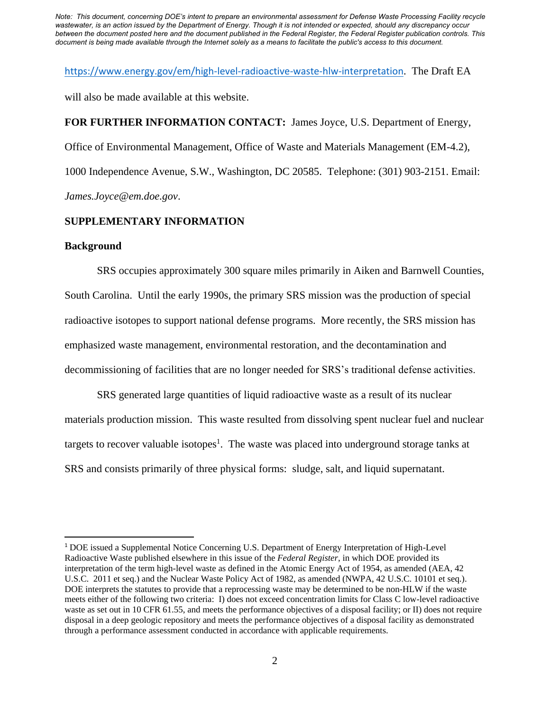<https://www.energy.gov/em/high-level-radioactive-waste-hlw-interpretation>. The Draft EA

will also be made available at this website.

**FOR FURTHER INFORMATION CONTACT:** James Joyce, U.S. Department of Energy, Office of Environmental Management, Office of Waste and Materials Management (EM-4.2), 1000 Independence Avenue, S.W., Washington, DC 20585. Telephone: (301) 903-2151. Email: *James.Joyce@em.doe.gov*.

# **SUPPLEMENTARY INFORMATION**

#### **Background**

SRS occupies approximately 300 square miles primarily in Aiken and Barnwell Counties, South Carolina. Until the early 1990s, the primary SRS mission was the production of special radioactive isotopes to support national defense programs. More recently, the SRS mission has emphasized waste management, environmental restoration, and the decontamination and decommissioning of facilities that are no longer needed for SRS's traditional defense activities.

SRS generated large quantities of liquid radioactive waste as a result of its nuclear materials production mission. This waste resulted from dissolving spent nuclear fuel and nuclear targets to recover valuable isotopes<sup>1</sup>. The waste was placed into underground storage tanks at SRS and consists primarily of three physical forms: sludge, salt, and liquid supernatant.

<sup>1</sup> DOE issued a Supplemental Notice Concerning U.S. Department of Energy Interpretation of High-Level Radioactive Waste published elsewhere in this issue of the *Federal Register*, in which DOE provided its interpretation of the term high-level waste as defined in the Atomic Energy Act of 1954, as amended (AEA, 42 U.S.C. 2011 et seq.) and the Nuclear Waste Policy Act of 1982, as amended (NWPA, 42 U.S.C. 10101 et seq.). DOE interprets the statutes to provide that a reprocessing waste may be determined to be non-HLW if the waste meets either of the following two criteria: I) does not exceed concentration limits for Class C low-level radioactive waste as set out in 10 CFR 61.55, and meets the performance objectives of a disposal facility; or II) does not require disposal in a deep geologic repository and meets the performance objectives of a disposal facility as demonstrated through a performance assessment conducted in accordance with applicable requirements.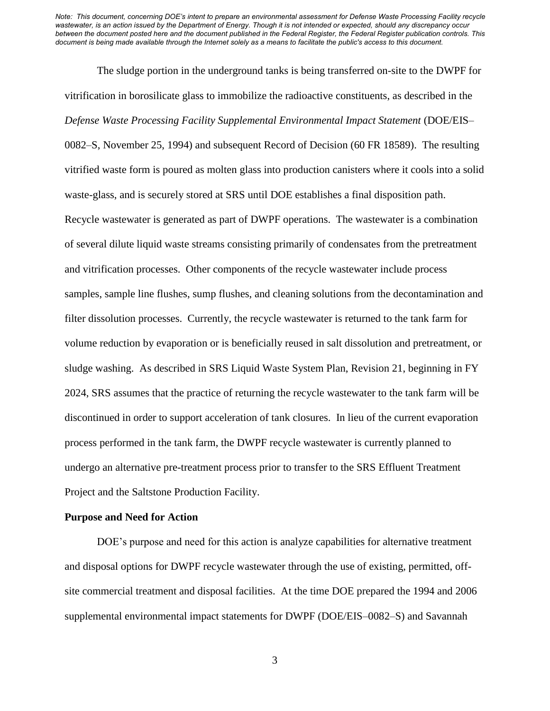The sludge portion in the underground tanks is being transferred on-site to the DWPF for vitrification in borosilicate glass to immobilize the radioactive constituents, as described in the *Defense Waste Processing Facility Supplemental Environmental Impact Statement* (DOE/EIS– 0082–S, November 25, 1994) and subsequent Record of Decision (60 FR 18589). The resulting vitrified waste form is poured as molten glass into production canisters where it cools into a solid waste-glass, and is securely stored at SRS until DOE establishes a final disposition path. Recycle wastewater is generated as part of DWPF operations. The wastewater is a combination of several dilute liquid waste streams consisting primarily of condensates from the pretreatment and vitrification processes. Other components of the recycle wastewater include process samples, sample line flushes, sump flushes, and cleaning solutions from the decontamination and filter dissolution processes. Currently, the recycle wastewater is returned to the tank farm for volume reduction by evaporation or is beneficially reused in salt dissolution and pretreatment, or sludge washing. As described in SRS Liquid Waste System Plan, Revision 21, beginning in FY 2024, SRS assumes that the practice of returning the recycle wastewater to the tank farm will be discontinued in order to support acceleration of tank closures. In lieu of the current evaporation process performed in the tank farm, the DWPF recycle wastewater is currently planned to undergo an alternative pre-treatment process prior to transfer to the SRS Effluent Treatment Project and the Saltstone Production Facility.

#### **Purpose and Need for Action**

DOE's purpose and need for this action is analyze capabilities for alternative treatment and disposal options for DWPF recycle wastewater through the use of existing, permitted, offsite commercial treatment and disposal facilities. At the time DOE prepared the 1994 and 2006 supplemental environmental impact statements for DWPF (DOE/EIS–0082–S) and Savannah

3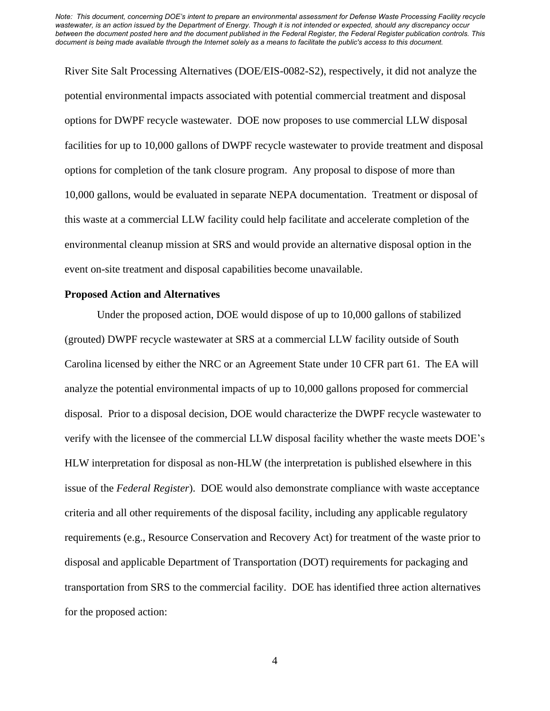River Site Salt Processing Alternatives (DOE/EIS-0082-S2), respectively, it did not analyze the potential environmental impacts associated with potential commercial treatment and disposal options for DWPF recycle wastewater. DOE now proposes to use commercial LLW disposal facilities for up to 10,000 gallons of DWPF recycle wastewater to provide treatment and disposal options for completion of the tank closure program. Any proposal to dispose of more than 10,000 gallons, would be evaluated in separate NEPA documentation. Treatment or disposal of this waste at a commercial LLW facility could help facilitate and accelerate completion of the environmental cleanup mission at SRS and would provide an alternative disposal option in the event on-site treatment and disposal capabilities become unavailable.

### **Proposed Action and Alternatives**

Under the proposed action, DOE would dispose of up to 10,000 gallons of stabilized (grouted) DWPF recycle wastewater at SRS at a commercial LLW facility outside of South Carolina licensed by either the NRC or an Agreement State under 10 CFR part 61. The EA will analyze the potential environmental impacts of up to 10,000 gallons proposed for commercial disposal. Prior to a disposal decision, DOE would characterize the DWPF recycle wastewater to verify with the licensee of the commercial LLW disposal facility whether the waste meets DOE's HLW interpretation for disposal as non-HLW (the interpretation is published elsewhere in this issue of the *Federal Register*). DOE would also demonstrate compliance with waste acceptance criteria and all other requirements of the disposal facility, including any applicable regulatory requirements (e.g., Resource Conservation and Recovery Act) for treatment of the waste prior to disposal and applicable Department of Transportation (DOT) requirements for packaging and transportation from SRS to the commercial facility. DOE has identified three action alternatives for the proposed action:

4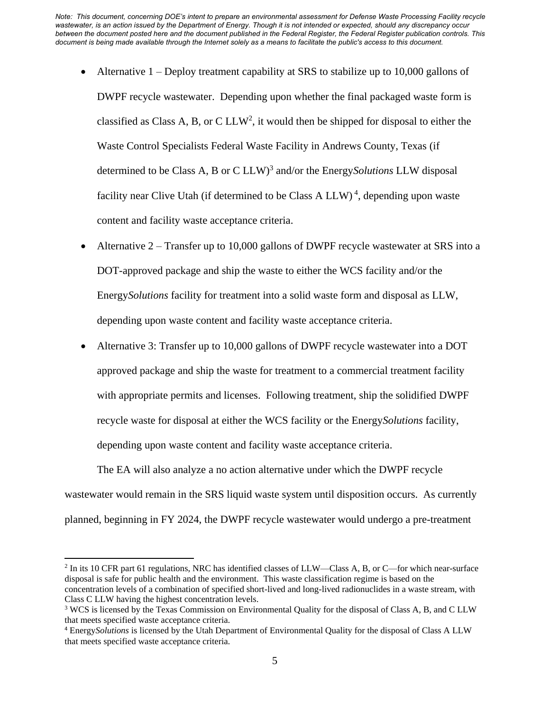- Alternative  $1 -$ Deploy treatment capability at SRS to stabilize up to 10,000 gallons of DWPF recycle wastewater. Depending upon whether the final packaged waste form is classified as Class A, B, or C LLW<sup>2</sup>, it would then be shipped for disposal to either the Waste Control Specialists Federal Waste Facility in Andrews County, Texas (if determined to be Class A, B or C LLW)<sup>3</sup> and/or the Energy*Solutions* LLW disposal facility near Clive Utah (if determined to be Class A LLW)<sup>4</sup>, depending upon waste content and facility waste acceptance criteria.
- Alternative 2 Transfer up to 10,000 gallons of DWPF recycle wastewater at SRS into a DOT-approved package and ship the waste to either the WCS facility and/or the Energy*Solutions* facility for treatment into a solid waste form and disposal as LLW, depending upon waste content and facility waste acceptance criteria.
- Alternative 3: Transfer up to 10,000 gallons of DWPF recycle wastewater into a DOT approved package and ship the waste for treatment to a commercial treatment facility with appropriate permits and licenses. Following treatment, ship the solidified DWPF recycle waste for disposal at either the WCS facility or the Energy*Solutions* facility, depending upon waste content and facility waste acceptance criteria.

The EA will also analyze a no action alternative under which the DWPF recycle wastewater would remain in the SRS liquid waste system until disposition occurs. As currently planned, beginning in FY 2024, the DWPF recycle wastewater would undergo a pre-treatment

<sup>&</sup>lt;sup>2</sup> In its 10 CFR part 61 regulations, NRC has identified classes of LLW—Class A, B, or C—for which near-surface disposal is safe for public health and the environment. This waste classification regime is based on the concentration levels of a combination of specified short-lived and long-lived radionuclides in a waste stream, with Class C LLW having the highest concentration levels.

<sup>&</sup>lt;sup>3</sup> WCS is licensed by the Texas Commission on Environmental Quality for the disposal of Class A, B, and C LLW that meets specified waste acceptance criteria.

<sup>4</sup> Energy*Solutions* is licensed by the Utah Department of Environmental Quality for the disposal of Class A LLW that meets specified waste acceptance criteria.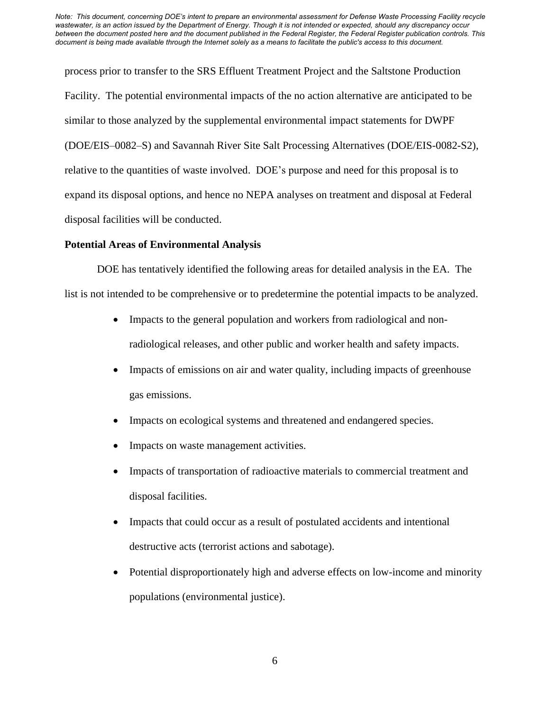process prior to transfer to the SRS Effluent Treatment Project and the Saltstone Production Facility. The potential environmental impacts of the no action alternative are anticipated to be similar to those analyzed by the supplemental environmental impact statements for DWPF (DOE/EIS–0082–S) and Savannah River Site Salt Processing Alternatives (DOE/EIS-0082-S2), relative to the quantities of waste involved. DOE's purpose and need for this proposal is to expand its disposal options, and hence no NEPA analyses on treatment and disposal at Federal disposal facilities will be conducted.

#### **Potential Areas of Environmental Analysis**

DOE has tentatively identified the following areas for detailed analysis in the EA. The list is not intended to be comprehensive or to predetermine the potential impacts to be analyzed.

- Impacts to the general population and workers from radiological and nonradiological releases, and other public and worker health and safety impacts.
- Impacts of emissions on air and water quality, including impacts of greenhouse gas emissions.
- Impacts on ecological systems and threatened and endangered species.
- Impacts on waste management activities.
- Impacts of transportation of radioactive materials to commercial treatment and disposal facilities.
- Impacts that could occur as a result of postulated accidents and intentional destructive acts (terrorist actions and sabotage).
- Potential disproportionately high and adverse effects on low-income and minority populations (environmental justice).